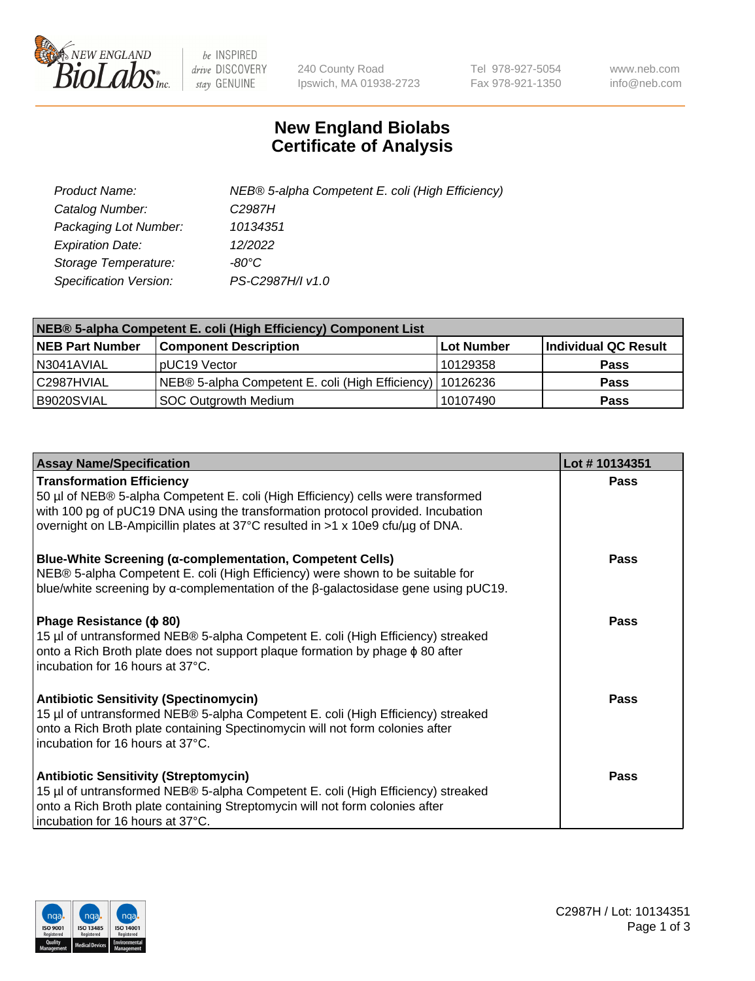

 $be$  INSPIRED drive DISCOVERY stay GENUINE

240 County Road Ipswich, MA 01938-2723 Tel 978-927-5054 Fax 978-921-1350 www.neb.com info@neb.com

## **New England Biolabs Certificate of Analysis**

| Product Name:           | NEB® 5-alpha Competent E. coli (High Efficiency) |
|-------------------------|--------------------------------------------------|
| Catalog Number:         | C2987H                                           |
| Packaging Lot Number:   | 10134351                                         |
| <b>Expiration Date:</b> | 12/2022                                          |
| Storage Temperature:    | -80°C                                            |
| Specification Version:  | PS-C2987H/I v1.0                                 |

| NEB® 5-alpha Competent E. coli (High Efficiency) Component List |                                                             |                   |                      |  |
|-----------------------------------------------------------------|-------------------------------------------------------------|-------------------|----------------------|--|
| <b>NEB Part Number</b>                                          | <b>Component Description</b>                                | <b>Lot Number</b> | Individual QC Result |  |
| N3041AVIAL                                                      | pUC19 Vector                                                | 10129358          | <b>Pass</b>          |  |
| C2987HVIAL                                                      | NEB® 5-alpha Competent E. coli (High Efficiency)   10126236 |                   | <b>Pass</b>          |  |
| B9020SVIAL                                                      | <b>SOC Outgrowth Medium</b>                                 | 10107490          | <b>Pass</b>          |  |

| <b>Assay Name/Specification</b>                                                                                                                                                                                                                                                           | Lot #10134351 |
|-------------------------------------------------------------------------------------------------------------------------------------------------------------------------------------------------------------------------------------------------------------------------------------------|---------------|
| <b>Transformation Efficiency</b><br>50 µl of NEB® 5-alpha Competent E. coli (High Efficiency) cells were transformed<br>with 100 pg of pUC19 DNA using the transformation protocol provided. Incubation<br>overnight on LB-Ampicillin plates at 37°C resulted in >1 x 10e9 cfu/µg of DNA. | Pass          |
| <b>Blue-White Screening (α-complementation, Competent Cells)</b><br>NEB® 5-alpha Competent E. coli (High Efficiency) were shown to be suitable for<br>blue/white screening by $\alpha$ -complementation of the $\beta$ -galactosidase gene using pUC19.                                   | Pass          |
| Phage Resistance ( $\phi$ 80)<br>15 µl of untransformed NEB® 5-alpha Competent E. coli (High Efficiency) streaked<br>onto a Rich Broth plate does not support plaque formation by phage $\phi$ 80 after<br>incubation for 16 hours at 37°C.                                               | Pass          |
| <b>Antibiotic Sensitivity (Spectinomycin)</b><br>15 µl of untransformed NEB® 5-alpha Competent E. coli (High Efficiency) streaked<br>onto a Rich Broth plate containing Spectinomycin will not form colonies after<br>incubation for 16 hours at 37°C.                                    | <b>Pass</b>   |
| <b>Antibiotic Sensitivity (Streptomycin)</b><br>15 µl of untransformed NEB® 5-alpha Competent E. coli (High Efficiency) streaked<br>onto a Rich Broth plate containing Streptomycin will not form colonies after<br>incubation for 16 hours at 37°C.                                      | Pass          |

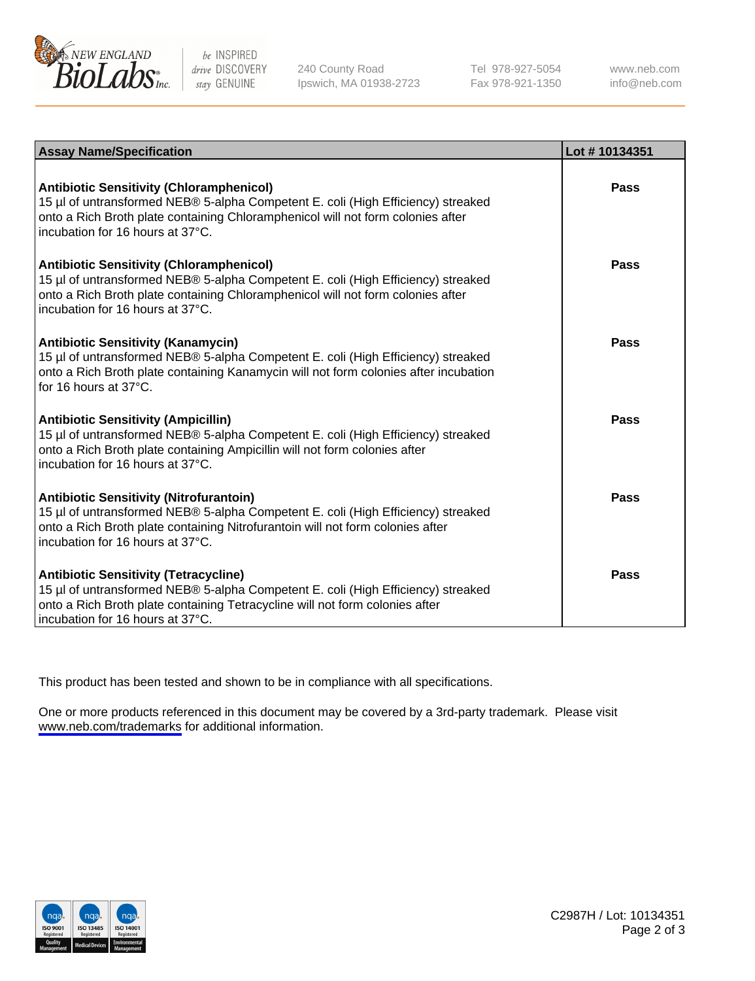

be INSPIRED drive DISCOVERY stay GENUINE

240 County Road Ipswich, MA 01938-2723 Tel 978-927-5054 Fax 978-921-1350

www.neb.com info@neb.com

| <b>Assay Name/Specification</b>                                                                                                                                                                                                                            | Lot #10134351 |
|------------------------------------------------------------------------------------------------------------------------------------------------------------------------------------------------------------------------------------------------------------|---------------|
| <b>Antibiotic Sensitivity (Chloramphenicol)</b><br>15 µl of untransformed NEB® 5-alpha Competent E. coli (High Efficiency) streaked<br>onto a Rich Broth plate containing Chloramphenicol will not form colonies after<br>incubation for 16 hours at 37°C. | Pass          |
| <b>Antibiotic Sensitivity (Chloramphenicol)</b><br>15 µl of untransformed NEB® 5-alpha Competent E. coli (High Efficiency) streaked<br>onto a Rich Broth plate containing Chloramphenicol will not form colonies after<br>incubation for 16 hours at 37°C. | <b>Pass</b>   |
| <b>Antibiotic Sensitivity (Kanamycin)</b><br>15 µl of untransformed NEB® 5-alpha Competent E. coli (High Efficiency) streaked<br>onto a Rich Broth plate containing Kanamycin will not form colonies after incubation<br>for 16 hours at $37^{\circ}$ C.   | Pass          |
| <b>Antibiotic Sensitivity (Ampicillin)</b><br>15 µl of untransformed NEB® 5-alpha Competent E. coli (High Efficiency) streaked<br>onto a Rich Broth plate containing Ampicillin will not form colonies after<br>incubation for 16 hours at 37°C.           | <b>Pass</b>   |
| <b>Antibiotic Sensitivity (Nitrofurantoin)</b><br>15 µl of untransformed NEB® 5-alpha Competent E. coli (High Efficiency) streaked<br>onto a Rich Broth plate containing Nitrofurantoin will not form colonies after<br>incubation for 16 hours at 37°C.   | Pass          |
| <b>Antibiotic Sensitivity (Tetracycline)</b><br>15 µl of untransformed NEB® 5-alpha Competent E. coli (High Efficiency) streaked<br>onto a Rich Broth plate containing Tetracycline will not form colonies after<br>incubation for 16 hours at 37°C.       | Pass          |

This product has been tested and shown to be in compliance with all specifications.

One or more products referenced in this document may be covered by a 3rd-party trademark. Please visit <www.neb.com/trademarks>for additional information.